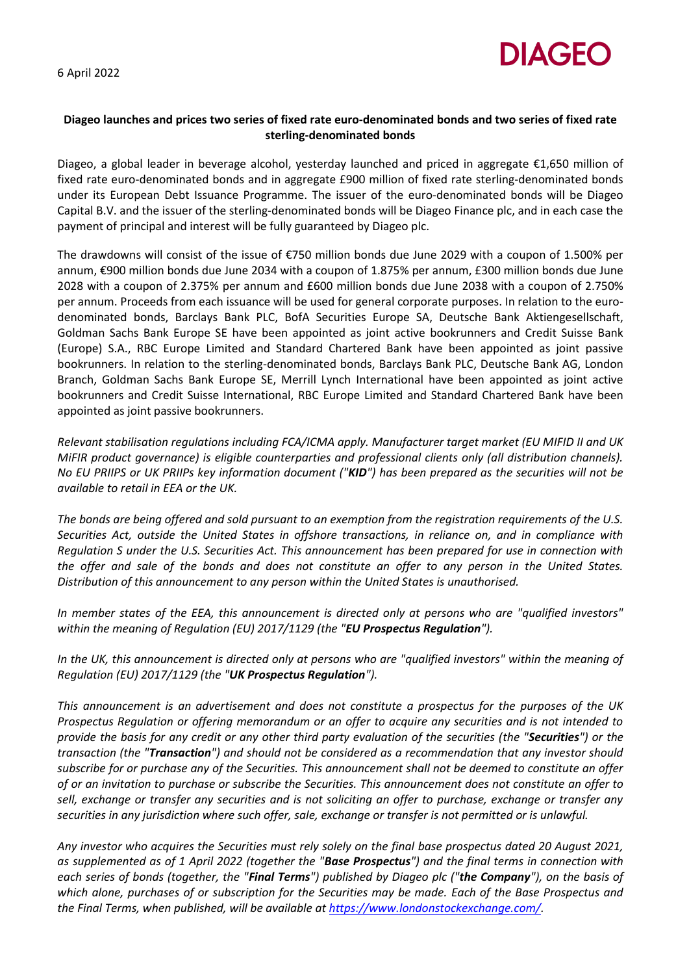6 April 2022



## **Diageo launches and prices two series of fixed rate euro-denominated bonds and two series of fixed rate sterling-denominated bonds**

Diageo, a global leader in beverage alcohol, yesterday launched and priced in aggregate €1,650 million of fixed rate euro-denominated bonds and in aggregate £900 million of fixed rate sterling-denominated bonds under its European Debt Issuance Programme. The issuer of the euro-denominated bonds will be Diageo Capital B.V. and the issuer of the sterling-denominated bonds will be Diageo Finance plc, and in each case the payment of principal and interest will be fully guaranteed by Diageo plc.

The drawdowns will consist of the issue of €750 million bonds due June 2029 with a coupon of 1.500% per annum, €900 million bonds due June 2034 with a coupon of 1.875% per annum, £300 million bonds due June 2028 with a coupon of 2.375% per annum and £600 million bonds due June 2038 with a coupon of 2.750% per annum. Proceeds from each issuance will be used for general corporate purposes. In relation to the eurodenominated bonds, Barclays Bank PLC, BofA Securities Europe SA, Deutsche Bank Aktiengesellschaft, Goldman Sachs Bank Europe SE have been appointed as joint active bookrunners and Credit Suisse Bank (Europe) S.A., RBC Europe Limited and Standard Chartered Bank have been appointed as joint passive bookrunners. In relation to the sterling-denominated bonds, Barclays Bank PLC, Deutsche Bank AG, London Branch, Goldman Sachs Bank Europe SE, Merrill Lynch International have been appointed as joint active bookrunners and Credit Suisse International, RBC Europe Limited and Standard Chartered Bank have been appointed as joint passive bookrunners.

*Relevant stabilisation regulations including FCA/ICMA apply. Manufacturer target market (EU MIFID II and UK MiFIR product governance) is eligible counterparties and professional clients only (all distribution channels). No EU PRIIPS or UK PRIIPs key information document ("KID") has been prepared as the securities will not be available to retail in EEA or the UK.*

*The bonds are being offered and sold pursuant to an exemption from the registration requirements of the U.S. Securities Act, outside the United States in offshore transactions, in reliance on, and in compliance with Regulation S under the U.S. Securities Act. This announcement has been prepared for use in connection with the offer and sale of the bonds and does not constitute an offer to any person in the United States. Distribution of this announcement to any person within the United States is unauthorised.*

*In member states of the EEA, this announcement is directed only at persons who are "qualified investors" within the meaning of Regulation (EU) 2017/1129 (the "EU Prospectus Regulation").* 

*In the UK, this announcement is directed only at persons who are "qualified investors" within the meaning of Regulation (EU) 2017/1129 (the "UK Prospectus Regulation").* 

*This announcement is an advertisement and does not constitute a prospectus for the purposes of the UK Prospectus Regulation or offering memorandum or an offer to acquire any securities and is not intended to provide the basis for any credit or any other third party evaluation of the securities (the "Securities") or the transaction (the "Transaction") and should not be considered as a recommendation that any investor should subscribe for or purchase any of the Securities. This announcement shall not be deemed to constitute an offer of or an invitation to purchase or subscribe the Securities. This announcement does not constitute an offer to sell, exchange or transfer any securities and is not soliciting an offer to purchase, exchange or transfer any securities in any jurisdiction where such offer, sale, exchange or transfer is not permitted or is unlawful.*

*Any investor who acquires the Securities must rely solely on the final base prospectus dated 20 August 2021, as supplemented as of 1 April 2022 (together the "Base Prospectus") and the final terms in connection with each series of bonds (together, the "Final Terms") published by Diageo plc ("the Company"), on the basis of which alone, purchases of or subscription for the Securities may be made. Each of the Base Prospectus and the Final Terms, when published, will be available at https://www.londonstockexchange.com/.*